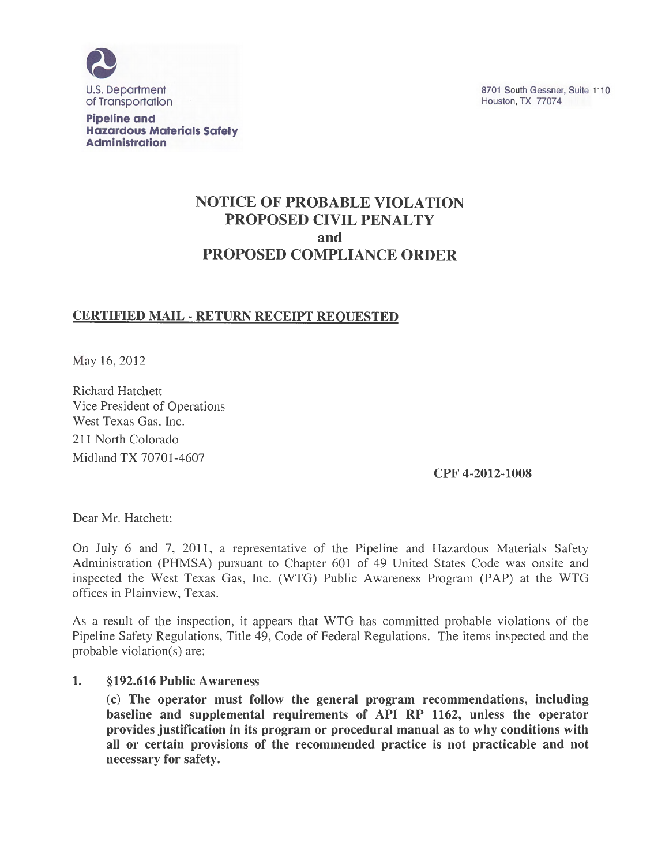

Pipeline and Hazardous Materials Safety **Administration** 

8701 South Gessner, Suite 1110 Houston, TX 77074

# NOTICE OF PROBABLE VIOLATION PROPOSED CIVIL PENALTY and PROPOSED COMPLIANCE ORDER

### CERTIFIED MAIL - RETURN RECEIPT REQUESTED

May 16, 2012

Richard Hatchett Vice President of Operations West Texas Gas, Inc. 211 North Colorado Midland TX 70701-4607

CPF 4-2012-1008

Dear Mr. Hatchett:

On July 6 and 7, 2011, a representative of the Pipeline and Hazardous Materials Safety Administration (PHMSA) pursuant to Chapter 601 of 49 United States Code was onsite and inspected the West Texas Gas, Inc. (WTG) Public Awareness Program (PAP) at the WTG offices in Plainview, Texas.

As a result of the inspection, it appears that WTG has committed probable violations of the Pipeline Safety Regulations, Title 49, Code of Federal Regulations. The items inspected and the probable violation(s) are:

#### 1. §192.616 Public Awareness

(c) The operator must follow the general program recommendations, including baseline and supplemental requirements of API RP 1162, unless the operator provides justification in its program or procedural manual as to why conditions with all or certain provisions of the recommended practice is not practicable and not necessary for safety.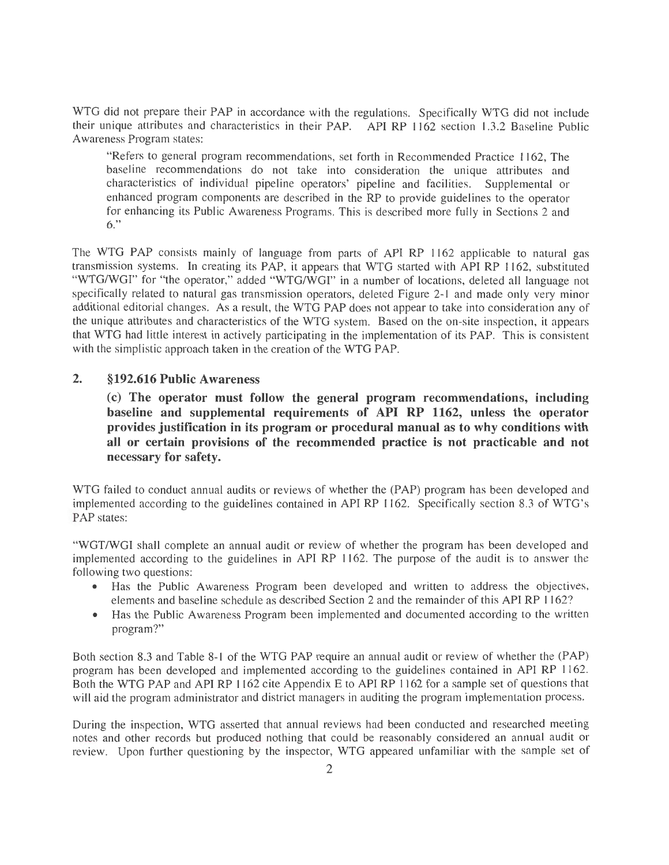WTG did not prepare their PAP in accordance with the regulations. Specifically WTG did not include their unique attributes and characteristics in their PAP. API RP 1162 section 1.3.2 Baseline Public Awareness Program states:

"Refers to general program recommendations, set forth in Recommended Practice 1162, The baseline recommendations do not take into consideration the unique attributes and characteristics of individual pipeline operators' pipeline and facilities. Supplemental or enhanced program components are described in the RP to provide guidelines to the operator for enhancing its Public Awareness Programs. This is described more fully in Sections 2 and 6."

The WTG PAP consists mainly of language from parts of API RP 1162 applicable to natural gas transmission systems. In creating its PAP, it appears that WTG started with API RP 1162, substituted "WTG/WGI" for "the operator," added "WTG/WGI" in a number of locations, deleted all language not specifically related to natural gas transmission operators, deleted Figure 2-1 and made only very minor additional editorial changes. As a result, the WTG PAP does not appear to take into consideration any of the unique attributes and characteristics of the WTG system. Based on the on-site inspection, it appears that WTG had little interest in actively participating in the implementation of its PAP. This is consistent with the simplistic approach taken in the creation of the WTG PAP.

### **2. §192.616 Public Awareness**

(c) **The operator must follow the general program recommendations, including baseline and supplemental requirements of API RP 1162, unless the operator provides justification in its program or procedural manual as to why conditions with all or certain provisions of the recommended practice is not practicable and not necessary for safety.** 

WTG failed to conduct annual audits or reviews of whether the (PAP) program has been developed and implemented according to the guidelines contained in API RP 1162. Specifically section 8.3 of WTG's PAP states:

"WGT/WGI shall complete an annual audit or review of whether the program has been developed and implemented according to the guidelines in API RP 1162. The purpose of the audit is to answer the following two questions:

- Has the Public Awareness Program been developed and written to address the objectives, elements and baseline schedule as described Section 2 and the remainder of this API RP 1162?
- Has the Public Awareness Program been implemented and documented according to the written program?"

Both section 8.3 and Table 8-1 of the WTG PAP require an annual audit or review of whether the (PAP) program has been developed and implemented according to the guidelines contained in API RP 1162. Both the WTG PAP and API RP 1162 cite Appendix E to API RP 1162 for a sample set of questions that will aid the program administrator and district managers in auditing the program implementation process.

During the inspection, WTG assetted that annual reviews had been conducted and researched meeting notes and other records but produced nothing that could be reasonably considered an annual audit or review. Upon further questioning by the inspector, WTG appeared unfamiliar with the sample set of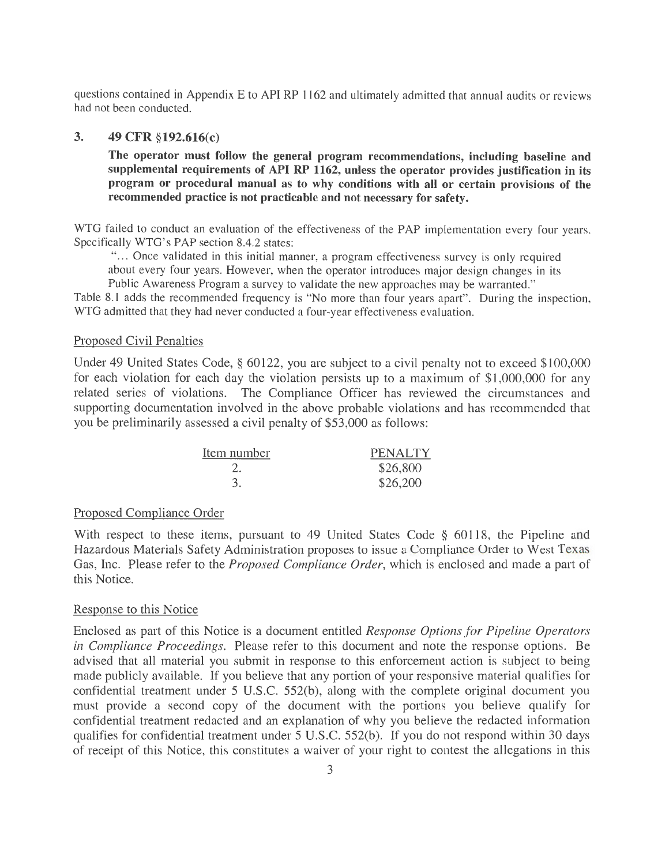questions contained in Appendix E to API RP 1162 and ultimately admitted that annual audits or reviews had not been conducted.

#### **3. 49 CFR §192.616(c)**

**The operator must follow the general program recommendations, including baseline and supplemental requirements of API RP 1162, unless the operator provides justification in its program or procedural manual as to why conditions with all or certain provisions of the recommended practice is not practicable and not necessary for safety.** 

WTG failed to conduct an evaluation of the effectiveness of the PAP implementation every four years. Specifically WTG's PAP section 8.4.2 states:

"... Once validated in this initial manner, a program effectiveness survey is only required about every four years. However, when the operator introduces major design changes in its

Public Awareness Program a survey to validate the new approaches may be warranted."

Table 8.1 adds the recommended frequency is "No more than four years apart". During the inspection, WTG admitted that they had never conducted a four-year effectiveness evaluation.

#### Proposed Civil Penalties

Under 49 United States Code, § 60122, you are subject to a civil penalty not to exceed \$100,000 for each violation for each day the violation persists up to a maximum of \$1,000,000 for any related series of violations. The Compliance Officer has reviewed the circumstances and supporting documentation involved in the above probable violations and has recommended that you be preliminarily assessed a civil penalty of \$53,000 as follows:

| Item number | <b>PENALTY</b> |
|-------------|----------------|
|             | \$26,800       |
|             | \$26,200       |

#### Proposed Compliance Order

With respect to these items, pursuant to 49 United States Code § 60118, the Pipeline and Hazardous Materials Safety Administration proposes to issue a Compliance Order to West Texas Gas, Inc. Please refer to the *Proposed Compliance Order,* which is enclosed and made a part of this Notice.

#### Response to this Notice

Enclosed as part of this Notice is a document entitled *Response Options for Pipeline Operators in Compliance Proceedings.* Please refer to this document and note the response options. Be advised that all material you submit in response to this enforcement action is subject to being made publicly available. If you believe that any portion of your responsive material qualifies for confidential treatment under 5 U.S.C. 552(b), along with the complete original document you must provide a second copy of the document with the portions you believe qualify for confidential treatment redacted and an explanation of why you believe the redacted information qualifies for confidential treatment under 5 U.S.C. 552(b). If you do not respond within 30 days of receipt of this Notice, this constitutes a waiver of your right to contest the allegations in this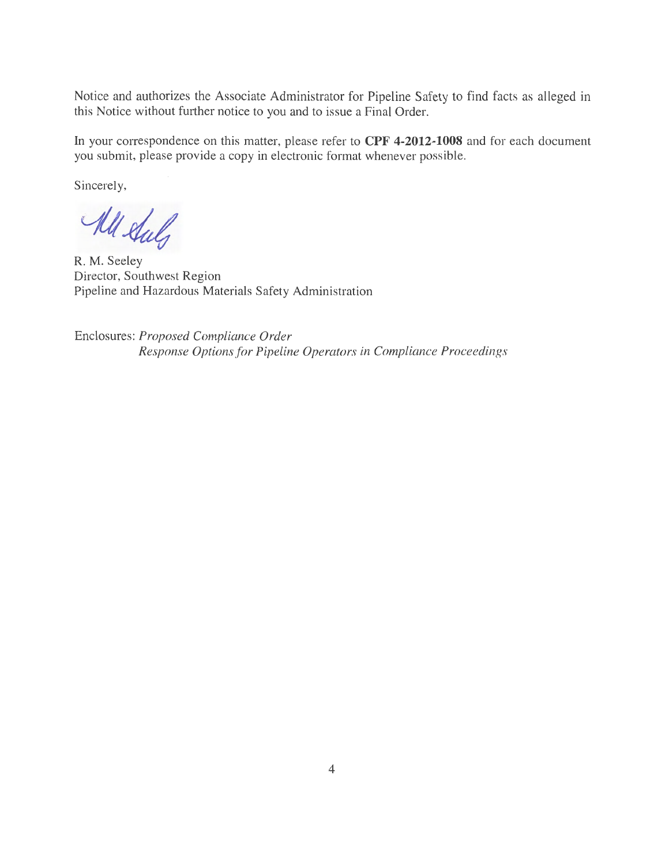Notice and authorizes the Associate Administrator for Pipeline Safety to find facts as alleged in this Notice without further notice to you and to issue a Final Order.

In your correspondence on this matter, please refer to **CPF 4-2012-1008** and for each document you submit, please provide a copy in electronic format whenever possible.

Sincerely,

All Stuly

R. M. Seeley Director, Southwest Region Pipeline and Hazardous Materials Safety Administration

Enclosures: *Proposed Compliance Order Response Options for Pipeline Operators in Compliance Proceedings*